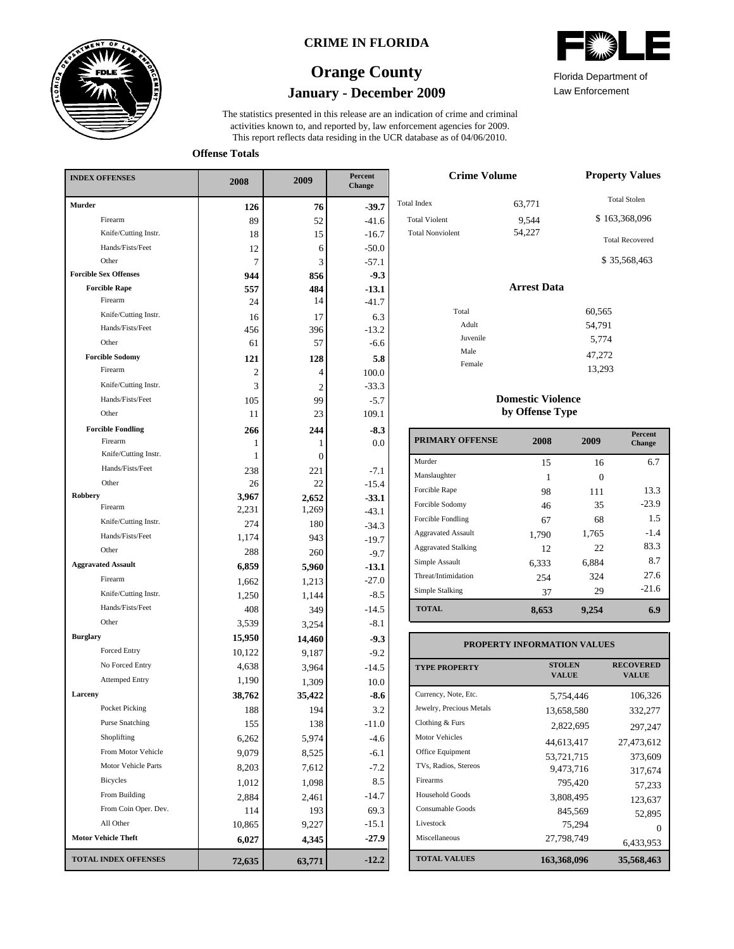

### **CRIME IN FLORIDA**

# **January - December 2009 Orange County**

This report reflects data residing in the UCR database as of 04/06/2010. activities known to, and reported by, law enforcement agencies for 2009. The statistics presented in this release are an indication of crime and criminal

**Offense Totals**

| <b>INDEX OFFENSES</b>        | 2008   | 2009           | Percent<br>Change |
|------------------------------|--------|----------------|-------------------|
| Murder                       | 126    | 76             | $-39.7$           |
| Firearm                      | 89     | 52             | $-41.6$           |
| Knife/Cutting Instr.         | 18     | 15             | $-16.7$           |
| Hands/Fists/Feet             | 12     | 6              | $-50.0$           |
| Other                        | 7      | 3              | $-57.1$           |
| <b>Forcible Sex Offenses</b> | 944    | 856            | $-9.3$            |
| <b>Forcible Rape</b>         | 557    | 484            | $-13.1$           |
| Firearm                      | 24     | 14             | $-41.7$           |
| Knife/Cutting Instr.         | 16     | 17             | 6.3               |
| Hands/Fists/Feet             | 456    | 396            | $-13.2$           |
| Other                        | 61     | 57             | $-6.6$            |
| <b>Forcible Sodomy</b>       | 121    | 128            | 5.8               |
| Firearm                      | 2      | 4              | 100.0             |
| Knife/Cutting Instr.         | 3      | $\overline{2}$ | $-33.3$           |
| Hands/Fists/Feet             | 105    | 99             | $-5.7$            |
| Other                        | 11     | 23             | 109.1             |
| <b>Forcible Fondling</b>     | 266    | 244            | $-8.3$            |
| Firearm                      | 1      | 1              | $0.0\,$           |
| Knife/Cutting Instr.         | 1      | $\overline{0}$ |                   |
| Hands/Fists/Feet             | 238    | 221            | $-7.1$            |
| Other                        | 26     | 22             | $-15.4$           |
| Robbery                      | 3,967  | 2,652          | $-33.1$           |
| Firearm                      | 2,231  | 1,269          | $-43.1$           |
| Knife/Cutting Instr.         | 274    | 180            | $-34.3$           |
| Hands/Fists/Feet             | 1,174  | 943            | $-19.7$           |
| Other                        | 288    | 260            | $-9.7$            |
| <b>Aggravated Assault</b>    | 6,859  | 5,960          | $-13.1$           |
| Firearm                      | 1,662  | 1,213          | $-27.0$           |
| Knife/Cutting Instr.         | 1,250  | 1,144          | $-8.5$            |
| Hands/Fists/Feet             | 408    | 349            | $-14.5$           |
| Other                        | 3,539  | 3,254          | $-8.1$            |
| <b>Burglary</b>              | 15,950 | 14,460         | $-9.3$            |
| Forced Entry                 | 10,122 | 9,187          | $-9.2$            |
| No Forced Entry              | 4,638  | 3,964          | $-14.5$           |
| <b>Attemped Entry</b>        | 1,190  | 1,309          | 10.0              |
| Larceny                      | 38,762 | 35,422         | -8.6              |
| Pocket Picking               | 188    | 194            | $3.2\,$           |
| <b>Purse Snatching</b>       | 155    | 138            | -11.0             |
| Shoplifting                  | 6,262  | 5,974          | $-4.6$            |
| From Motor Vehicle           | 9,079  | 8,525          | $-6.1$            |
| Motor Vehicle Parts          | 8,203  | 7,612          | $-7.2$            |
| Bicycles                     | 1,012  | 1,098          | 8.5               |
| From Building                | 2,884  | 2,461          | $-14.7$           |
| From Coin Oper. Dev.         | 114    | 193            | 69.3              |
| All Other                    | 10,865 | 9,227          | -15.1             |
| <b>Motor Vehicle Theft</b>   | 6,027  | 4,345          | $-27.9$           |
| <b>TOTAL INDEX OFFENSES</b>  | 72,635 | 63,771         | $-12.2$           |

|  | ≂. | W)<br>ZIN |  |  |
|--|----|-----------|--|--|
|  |    |           |  |  |

Law Enforcement Florida Department of

13,293

| <b>Crime Volume</b>                                                   | <b>Property Values</b>    |                                                                                |
|-----------------------------------------------------------------------|---------------------------|--------------------------------------------------------------------------------|
| <b>Total Index</b><br><b>Total Violent</b><br><b>Total Nonviolent</b> | 63,771<br>9,544<br>54,227 | <b>Total Stolen</b><br>\$163,368,096<br><b>Total Recovered</b><br>\$35,568,463 |
|                                                                       | <b>Arrest Data</b>        |                                                                                |
| Total<br>Adult<br>Juvenile<br>Male                                    |                           | 60,565<br>54,791<br>5,774<br>47,272                                            |
| Female                                                                |                           | 12.002                                                                         |

### **Domestic Violence by Offense Type**

| <b>PRIMARY OFFENSE</b>     | 2008  | 2009     | <b>Percent</b><br>Change |
|----------------------------|-------|----------|--------------------------|
| Murder                     | 15    | 16       | 6.7                      |
| Manslaughter               | 1     | $\Omega$ |                          |
| Forcible Rape              | 98    | 111      | 13.3                     |
| Forcible Sodomy            | 46    | 35       | $-23.9$                  |
| Forcible Fondling          | 67    | 68       | 1.5                      |
| <b>Aggravated Assault</b>  | 1,790 | 1,765    | $-1.4$                   |
| <b>Aggravated Stalking</b> | 12    | 22       | 83.3                     |
| Simple Assault             | 6.333 | 6,884    | 8.7                      |
| Threat/Intimidation        | 254   | 324      | 27.6                     |
| Simple Stalking            | 37    | 29       | $-21.6$                  |
| <b>TOTAL</b>               | 8,653 | 9,254    | 6.9                      |

### **PROPERTY INFORMATION VALUES**

| <b>TYPE PROPERTY</b>     | <b>STOLEN</b><br><b>VALUE</b> | <b>RECOVERED</b><br><b>VALUE</b> |
|--------------------------|-------------------------------|----------------------------------|
| Currency, Note, Etc.     | 5.754.446                     | 106,326                          |
| Jewelry, Precious Metals | 13,658,580                    | 332,277                          |
| Clothing & Furs          | 2,822,695                     | 297,247                          |
| Motor Vehicles           | 44.613.417                    | 27,473,612                       |
| Office Equipment         | 53,721,715                    | 373,609                          |
| TVs, Radios, Stereos     | 9,473,716                     | 317,674                          |
| Firearms                 | 795.420                       | 57,233                           |
| <b>Household Goods</b>   | 3,808,495                     | 123,637                          |
| Consumable Goods         | 845,569                       | 52,895                           |
| Livestock                | 75.294                        | $\mathbf{\Omega}$                |
| Miscellaneous            | 27,798,749                    | 6,433,953                        |
| <b>TOTAL VALUES</b>      | 163,368,096                   | 35,568,463                       |